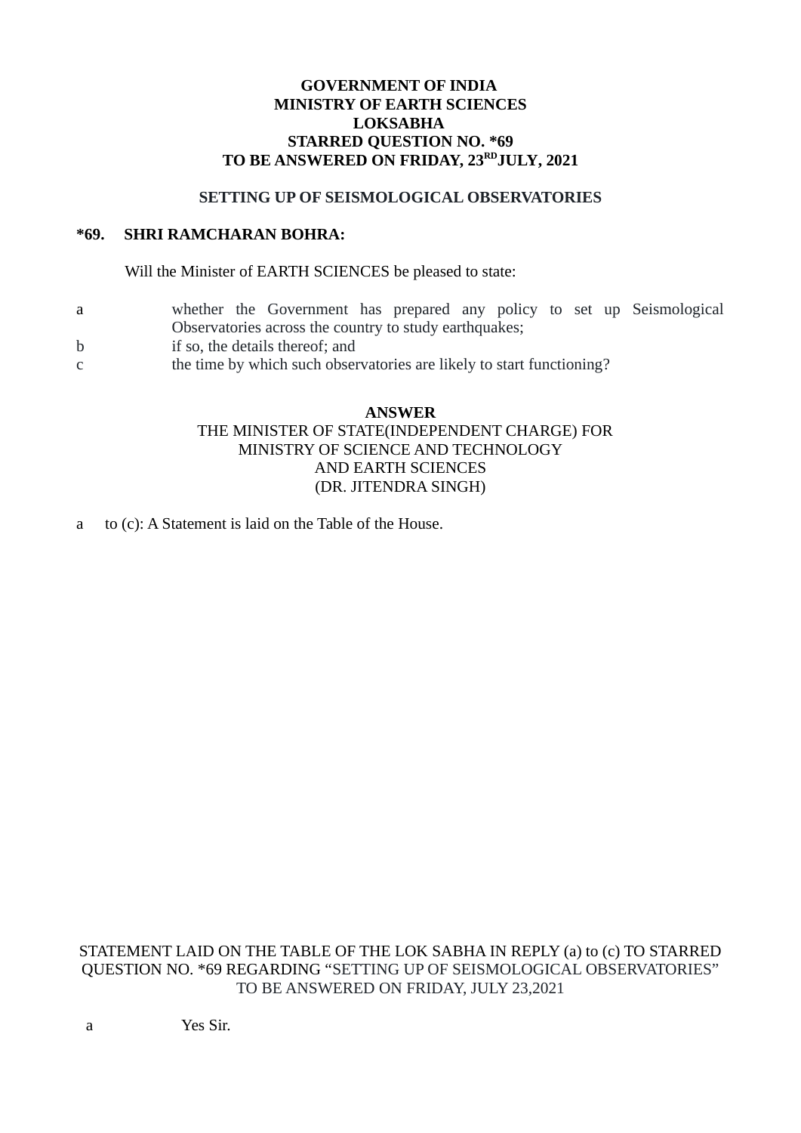# **GOVERNMENT OF INDIA MINISTRY OF EARTH SCIENCES LOKSABHA STARRED QUESTION NO. \*69 TO BE ANSWERED ON FRIDAY, 23RDJULY, 2021**

### **SETTING UP OF SEISMOLOGICAL OBSERVATORIES**

# **\*69. SHRI RAMCHARAN BOHRA:**

Will the Minister of EARTH SCIENCES be pleased to state:

- a whether the Government has prepared any policy to set up Seismological Observatories across the country to study earthquakes;
- b if so, the details thereof; and
- c the time by which such observatories are likely to start functioning?

#### **ANSWER**

# THE MINISTER OF STATE(INDEPENDENT CHARGE) FOR MINISTRY OF SCIENCE AND TECHNOLOGY AND EARTH SCIENCES (DR. JITENDRA SINGH)

a to (c): A Statement is laid on the Table of the House.

STATEMENT LAID ON THE TABLE OF THE LOK SABHA IN REPLY (a) to (c) TO STARRED QUESTION NO. \*69 REGARDING "SETTING UP OF SEISMOLOGICAL OBSERVATORIES" TO BE ANSWERED ON FRIDAY, JULY 23,2021

a Yes Sir.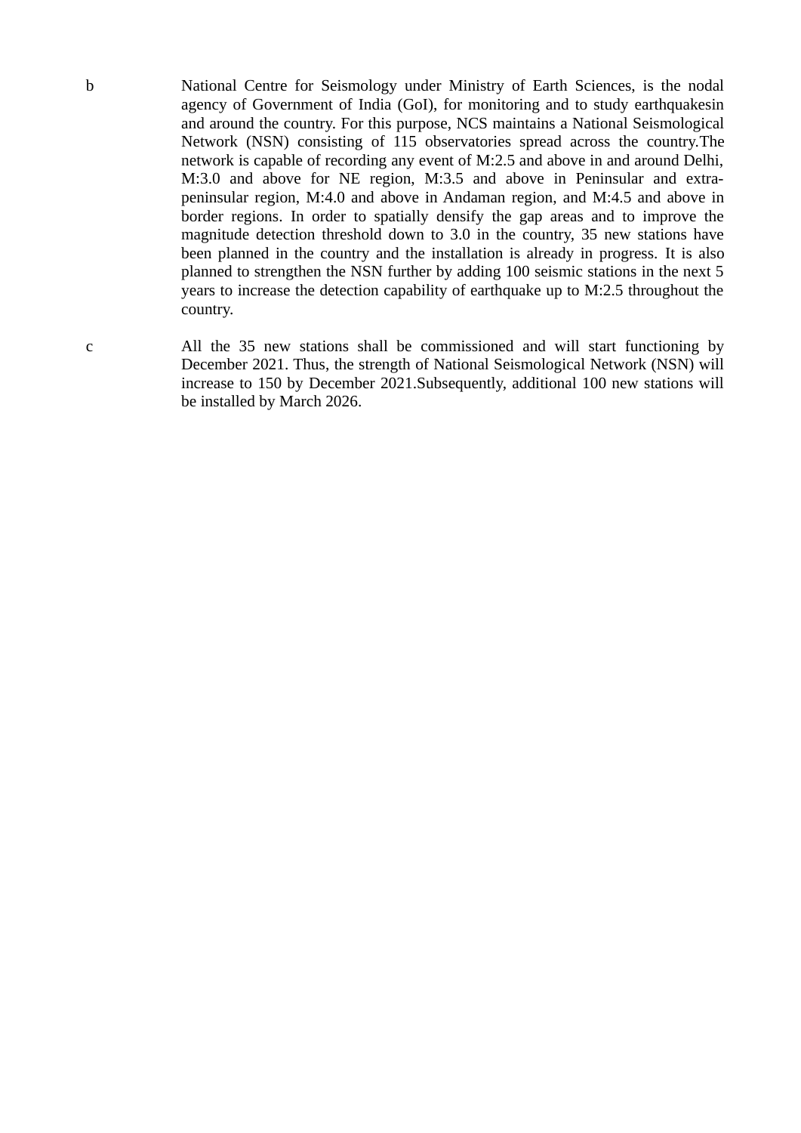b National Centre for Seismology under Ministry of Earth Sciences, is the nodal agency of Government of India (GoI), for monitoring and to study earthquakesin and around the country. For this purpose, NCS maintains a National Seismological Network (NSN) consisting of 115 observatories spread across the country.The network is capable of recording any event of M:2.5 and above in and around Delhi, M:3.0 and above for NE region, M:3.5 and above in Peninsular and extrapeninsular region, M:4.0 and above in Andaman region, and M:4.5 and above in border regions. In order to spatially densify the gap areas and to improve the magnitude detection threshold down to 3.0 in the country, 35 new stations have been planned in the country and the installation is already in progress. It is also planned to strengthen the NSN further by adding 100 seismic stations in the next 5 years to increase the detection capability of earthquake up to M:2.5 throughout the country.

c All the 35 new stations shall be commissioned and will start functioning by December 2021. Thus, the strength of National Seismological Network (NSN) will increase to 150 by December 2021.Subsequently, additional 100 new stations will be installed by March 2026.